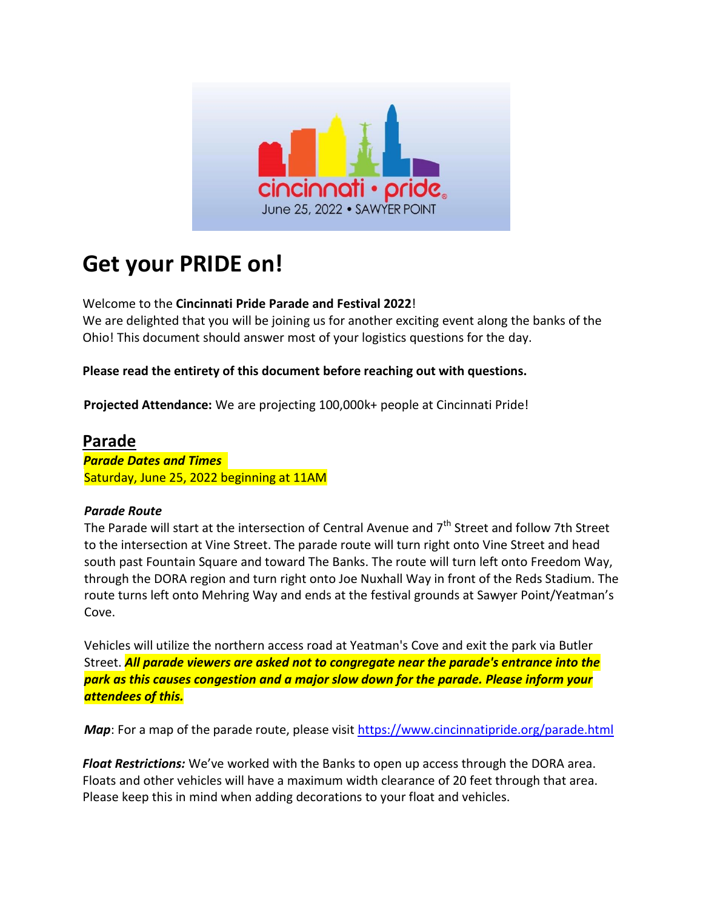

# **Get your PRIDE on!**

#### Welcome to the **Cincinnati Pride Parade and Festival 2022**!

We are delighted that you will be joining us for another exciting event along the banks of the Ohio! This document should answer most of your logistics questions for the day.

#### **Please read the entirety of this document before reaching out with questions.**

**Projected Attendance:** We are projecting 100,000k+ people at Cincinnati Pride!

### **Parade**

*Parade Dates and Times*  Saturday, June 25, 2022 beginning at 11AM

#### *Parade Route*

The Parade will start at the intersection of Central Avenue and  $7<sup>th</sup>$  Street and follow 7th Street to the intersection at Vine Street. The parade route will turn right onto Vine Street and head south past Fountain Square and toward The Banks. The route will turn left onto Freedom Way, through the DORA region and turn right onto Joe Nuxhall Way in front of the Reds Stadium. The route turns left onto Mehring Way and ends at the festival grounds at Sawyer Point/Yeatman's Cove.

Vehicles will utilize the northern access road at Yeatman's Cove and exit the park via Butler Street. *All parade viewers are asked not to congregate near the parade's entrance into the park as this causes congestion and a major slow down for the parade. Please inform your attendees of this.*

*Map*: For a map of the parade route, please visit<https://www.cincinnatipride.org/parade.html>

*Float Restrictions:* We've worked with the Banks to open up access through the DORA area. Floats and other vehicles will have a maximum width clearance of 20 feet through that area. Please keep this in mind when adding decorations to your float and vehicles.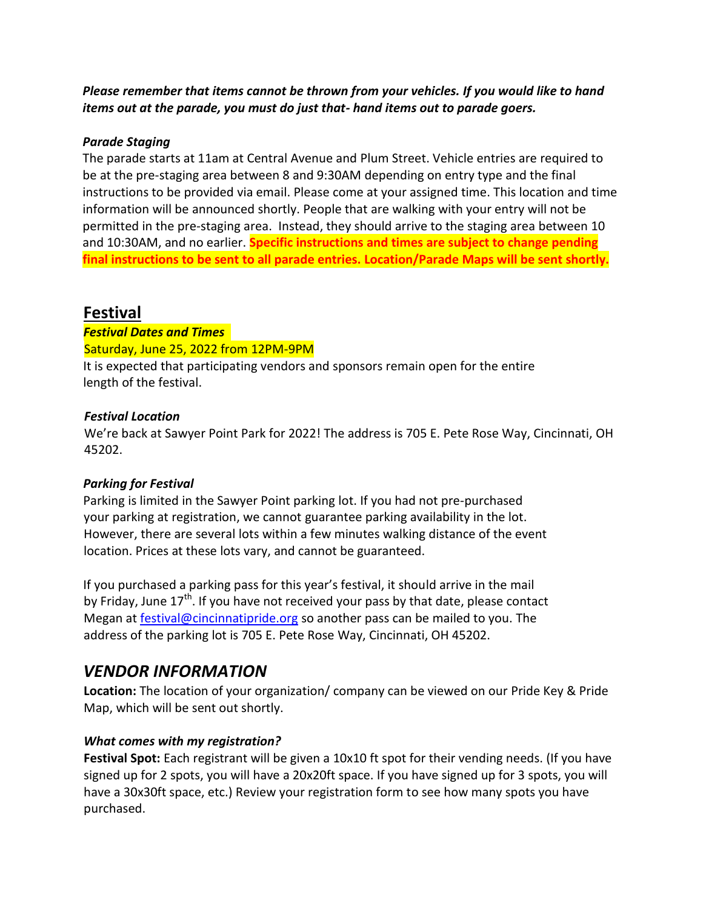*Please remember that items cannot be thrown from your vehicles. If you would like to hand items out at the parade, you must do just that- hand items out to parade goers.* 

#### *Parade Staging*

The parade starts at 11am at Central Avenue and Plum Street. Vehicle entries are required to be at the pre-staging area between 8 and 9:30AM depending on entry type and the final instructions to be provided via email. Please come at your assigned time. This location and time information will be announced shortly. People that are walking with your entry will not be permitted in the pre-staging area. Instead, they should arrive to the staging area between 10 and 10:30AM, and no earlier. **Specific instructions and times are subject to change pending final instructions to be sent to all parade entries. Location/Parade Maps will be sent shortly.**

### **Festival**

*Festival Dates and Times*  Saturday, June 25, 2022 from 12PM-9PM

It is expected that participating vendors and sponsors remain open for the entire length of the festival.

#### *Festival Location*

We're back at Sawyer Point Park for 2022! The address is 705 E. Pete Rose Way, Cincinnati, OH 45202.

#### *Parking for Festival*

Parking is limited in the Sawyer Point parking lot. If you had not pre-purchased your parking at registration, we cannot guarantee parking availability in the lot. However, there are several lots within a few minutes walking distance of the event location. Prices at these lots vary, and cannot be guaranteed.

If you purchased a parking pass for this year's festival, it should arrive in the mail by Friday, June  $17<sup>th</sup>$ . If you have not received your pass by that date, please contact Megan at [festival@cincinnatipride.org](mailto:festival@cincinnatipride.org) so another pass can be mailed to you. The address of the parking lot is 705 E. Pete Rose Way, Cincinnati, OH 45202.

### *VENDOR INFORMATION*

**Location:** The location of your organization/ company can be viewed on our Pride Key & Pride Map, which will be sent out shortly.

#### *What comes with my registration?*

**Festival Spot:** Each registrant will be given a 10x10 ft spot for their vending needs. (If you have signed up for 2 spots, you will have a 20x20ft space. If you have signed up for 3 spots, you will have a 30x30ft space, etc.) Review your registration form to see how many spots you have purchased.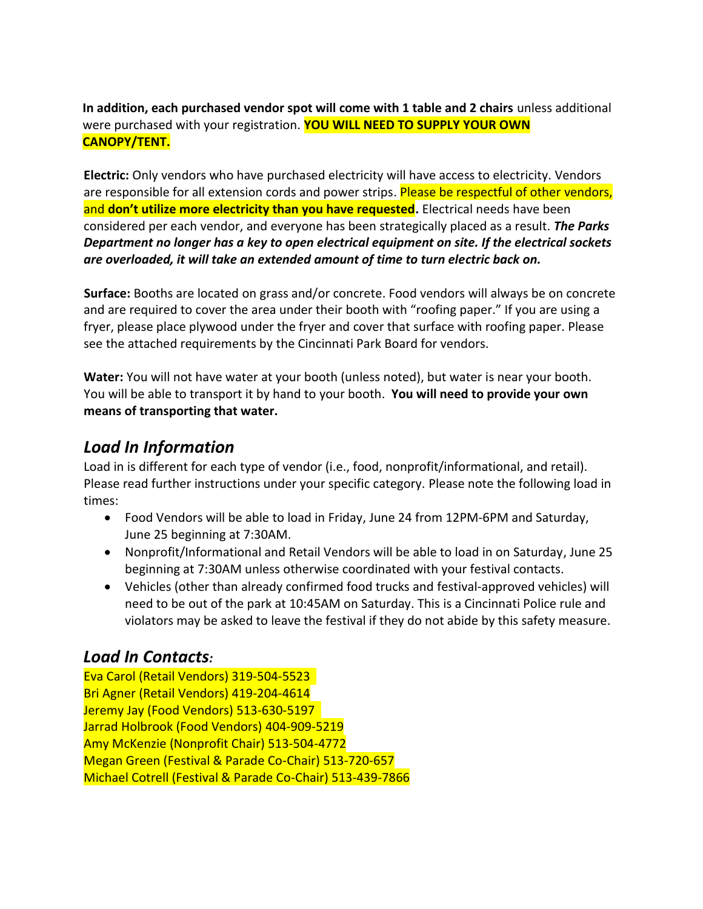**In addition, each purchased vendor spot will come with 1 table and 2 chairs** unless additional were purchased with your registration. **YOU WILL NEED TO SUPPLY YOUR OWN CANOPY/TENT.**

**Electric:** Only vendors who have purchased electricity will have access to electricity. Vendors are responsible for all extension cords and power strips. Please be respectful of other vendors, and **don't utilize more electricity than you have requested.** Electrical needs have been considered per each vendor, and everyone has been strategically placed as a result. *The Parks Department no longer has a key to open electrical equipment on site. If the electrical sockets are overloaded, it will take an extended amount of time to turn electric back on.*

**Surface:** Booths are located on grass and/or concrete. Food vendors will always be on concrete and are required to cover the area under their booth with "roofing paper." If you are using a fryer, please place plywood under the fryer and cover that surface with roofing paper. Please see the attached requirements by the Cincinnati Park Board for vendors.

**Water:** You will not have water at your booth (unless noted), but water is near your booth. You will be able to transport it by hand to your booth. **You will need to provide your own means of transporting that water.**

### *Load In Information*

Load in is different for each type of vendor (i.e., food, nonprofit/informational, and retail). Please read further instructions under your specific category. Please note the following load in times:

- Food Vendors will be able to load in Friday, June 24 from 12PM-6PM and Saturday, June 25 beginning at 7:30AM.
- Nonprofit/Informational and Retail Vendors will be able to load in on Saturday, June 25 beginning at 7:30AM unless otherwise coordinated with your festival contacts.
- Vehicles (other than already confirmed food trucks and festival-approved vehicles) will need to be out of the park at 10:45AM on Saturday. This is a Cincinnati Police rule and violators may be asked to leave the festival if they do not abide by this safety measure.

### *Load In Contacts:*

Eva Carol (Retail Vendors) 319-504-5523 Bri Agner (Retail Vendors) 419-204-4614 Jeremy Jay (Food Vendors) 513-630-5197 Jarrad Holbrook (Food Vendors) 404-909-5219 Amy McKenzie (Nonprofit Chair) 513-504-4772 Megan Green (Festival & Parade Co-Chair) 513-720-657 Michael Cotrell (Festival & Parade Co-Chair) 513-439-7866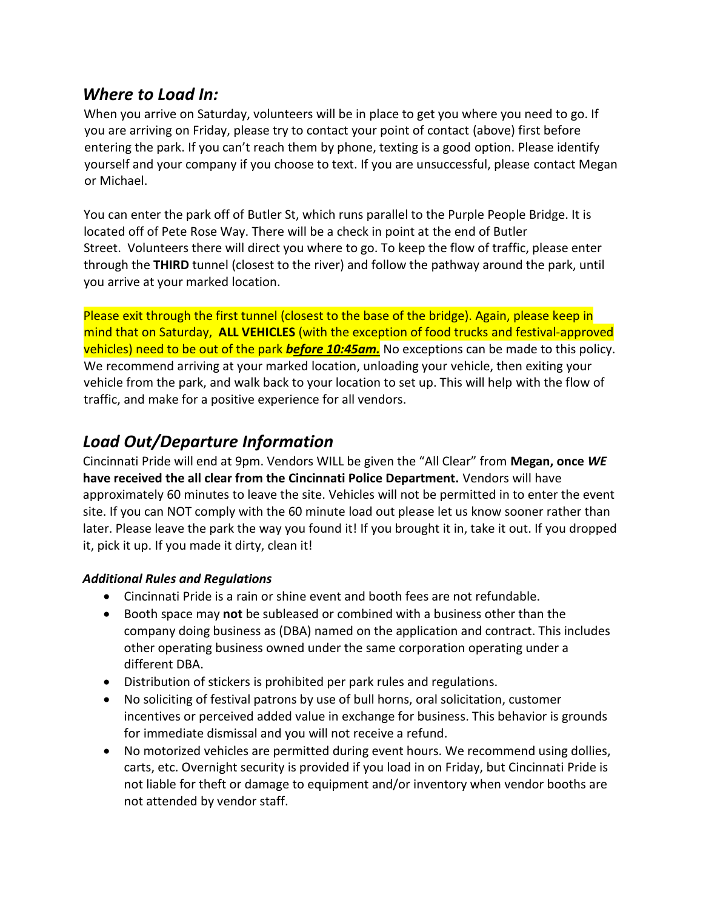### *Where to Load In:*

When you arrive on Saturday, volunteers will be in place to get you where you need to go. If you are arriving on Friday, please try to contact your point of contact (above) first before entering the park. If you can't reach them by phone, texting is a good option. Please identify yourself and your company if you choose to text. If you are unsuccessful, please contact Megan or Michael.

You can enter the park off of Butler St, which runs parallel to the Purple People Bridge. It is located off of Pete Rose Way. There will be a check in point at the end of Butler Street. Volunteers there will direct you where to go. To keep the flow of traffic, please enter through the **THIRD** tunnel (closest to the river) and follow the pathway around the park, until you arrive at your marked location.

Please exit through the first tunnel (closest to the base of the bridge). Again, please keep in mind that on Saturday, **ALL VEHICLES** (with the exception of food trucks and festival-approved vehicles) need to be out of the park *before 10:45am.* No exceptions can be made to this policy. We recommend arriving at your marked location, unloading your vehicle, then exiting your vehicle from the park, and walk back to your location to set up. This will help with the flow of traffic, and make for a positive experience for all vendors.

### *Load Out/Departure Information*

Cincinnati Pride will end at 9pm. Vendors WILL be given the "All Clear" from **Megan, once** *WE*  **have received the all clear from the Cincinnati Police Department.** Vendors will have approximately 60 minutes to leave the site. Vehicles will not be permitted in to enter the event site. If you can NOT comply with the 60 minute load out please let us know sooner rather than later. Please leave the park the way you found it! If you brought it in, take it out. If you dropped it, pick it up. If you made it dirty, clean it!

#### *Additional Rules and Regulations*

- Cincinnati Pride is a rain or shine event and booth fees are not refundable.
- Booth space may **not** be subleased or combined with a business other than the company doing business as (DBA) named on the application and contract. This includes other operating business owned under the same corporation operating under a different DBA.
- Distribution of stickers is prohibited per park rules and regulations.
- No soliciting of festival patrons by use of bull horns, oral solicitation, customer incentives or perceived added value in exchange for business. This behavior is grounds for immediate dismissal and you will not receive a refund.
- No motorized vehicles are permitted during event hours. We recommend using dollies, carts, etc. Overnight security is provided if you load in on Friday, but Cincinnati Pride is not liable for theft or damage to equipment and/or inventory when vendor booths are not attended by vendor staff.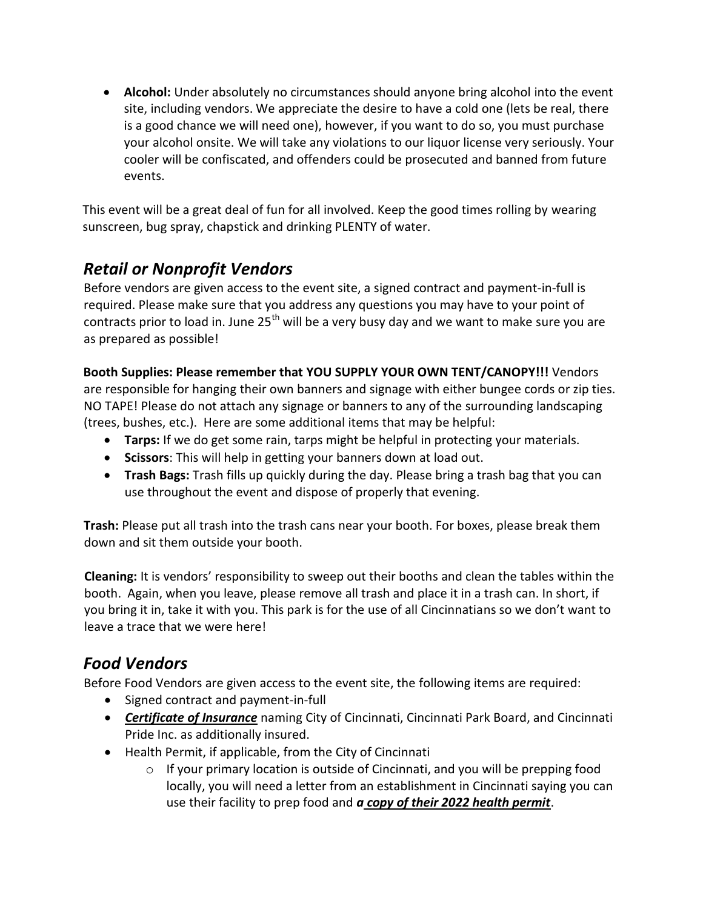**Alcohol:** Under absolutely no circumstances should anyone bring alcohol into the event site, including vendors. We appreciate the desire to have a cold one (lets be real, there is a good chance we will need one), however, if you want to do so, you must purchase your alcohol onsite. We will take any violations to our liquor license very seriously. Your cooler will be confiscated, and offenders could be prosecuted and banned from future events.

This event will be a great deal of fun for all involved. Keep the good times rolling by wearing sunscreen, bug spray, chapstick and drinking PLENTY of water.

### *Retail or Nonprofit Vendors*

Before vendors are given access to the event site, a signed contract and payment-in-full is required. Please make sure that you address any questions you may have to your point of contracts prior to load in. June  $25<sup>th</sup>$  will be a very busy day and we want to make sure you are as prepared as possible!

**Booth Supplies: Please remember that YOU SUPPLY YOUR OWN TENT/CANOPY!!!** Vendors are responsible for hanging their own banners and signage with either bungee cords or zip ties. NO TAPE! Please do not attach any signage or banners to any of the surrounding landscaping (trees, bushes, etc.). Here are some additional items that may be helpful:

- **Tarps:** If we do get some rain, tarps might be helpful in protecting your materials.
- **Scissors**: This will help in getting your banners down at load out.
- **Trash Bags:** Trash fills up quickly during the day. Please bring a trash bag that you can use throughout the event and dispose of properly that evening.

**Trash:** Please put all trash into the trash cans near your booth. For boxes, please break them down and sit them outside your booth.

**Cleaning:** It is vendors' responsibility to sweep out their booths and clean the tables within the booth. Again, when you leave, please remove all trash and place it in a trash can. In short, if you bring it in, take it with you. This park is for the use of all Cincinnatians so we don't want to leave a trace that we were here!

### *Food Vendors*

Before Food Vendors are given access to the event site, the following items are required:

- Signed contract and payment-in-full
- *Certificate of Insurance* naming City of Cincinnati, Cincinnati Park Board, and Cincinnati Pride Inc. as additionally insured.
- Health Permit, if applicable, from the City of Cincinnati
	- o If your primary location is outside of Cincinnati, and you will be prepping food locally, you will need a letter from an establishment in Cincinnati saying you can use their facility to prep food and *a copy of their 2022 health permit*.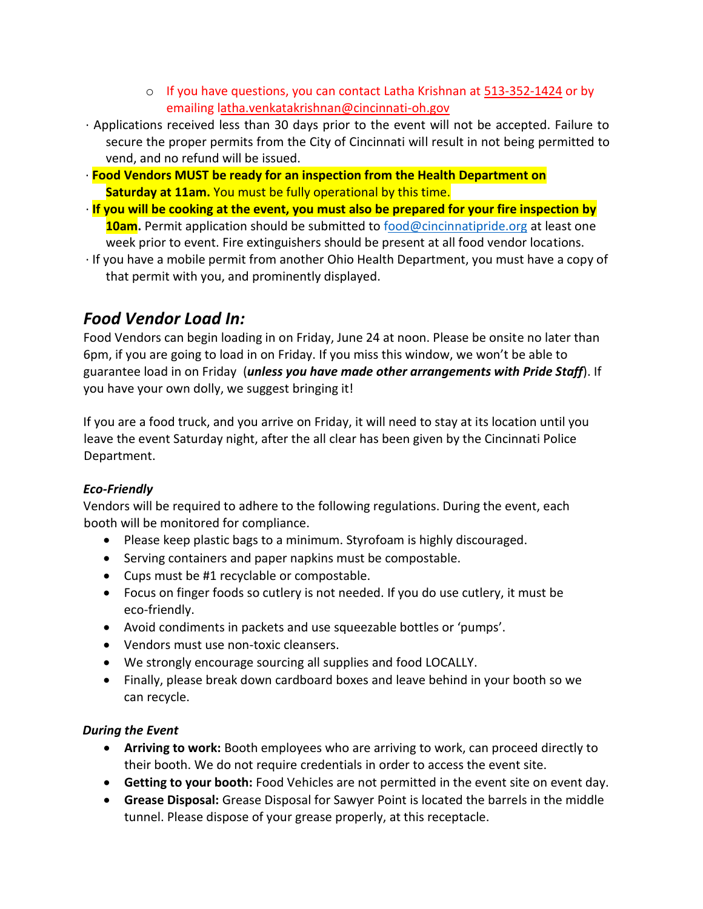- o If you have questions, you can contact Latha Krishnan at 513-352-1424 or by emailing latha.venkatakrishnan@cincinnati-oh.gov
- ∙ Applications received less than 30 days prior to the event will not be accepted. Failure to secure the proper permits from the City of Cincinnati will result in not being permitted to vend, and no refund will be issued.
- ∙ **Food Vendors MUST be ready for an inspection from the Health Department on Saturday at 11am.** You must be fully operational by this time.
- ∙ **If you will be cooking at the event, you must also be prepared for your fire inspection by 10am.** Permit application should be submitted to food@cincinnatipride.org at least one week prior to event. Fire extinguishers should be present at all food vendor locations.
- ∙ If you have a mobile permit from another Ohio Health Department, you must have a copy of that permit with you, and prominently displayed.

### *Food Vendor Load In:*

Food Vendors can begin loading in on Friday, June 24 at noon. Please be onsite no later than 6pm, if you are going to load in on Friday. If you miss this window, we won't be able to guarantee load in on Friday (*unless you have made other arrangements with Pride Staff*). If you have your own dolly, we suggest bringing it!

If you are a food truck, and you arrive on Friday, it will need to stay at its location until you leave the event Saturday night, after the all clear has been given by the Cincinnati Police Department.

### *Eco-Friendly*

Vendors will be required to adhere to the following regulations. During the event, each booth will be monitored for compliance.

- Please keep plastic bags to a minimum. Styrofoam is highly discouraged.
- Serving containers and paper napkins must be compostable.
- Cups must be #1 recyclable or compostable.
- Focus on finger foods so cutlery is not needed. If you do use cutlery, it must be eco-friendly.
- Avoid condiments in packets and use squeezable bottles or 'pumps'.
- Vendors must use non-toxic cleansers.
- We strongly encourage sourcing all supplies and food LOCALLY.
- Finally, please break down cardboard boxes and leave behind in your booth so we can recycle.

### *During the Event*

- **Arriving to work:** Booth employees who are arriving to work, can proceed directly to their booth. We do not require credentials in order to access the event site.
- **Getting to your booth:** Food Vehicles are not permitted in the event site on event day.
- **Grease Disposal:** Grease Disposal for Sawyer Point is located the barrels in the middle tunnel. Please dispose of your grease properly, at this receptacle.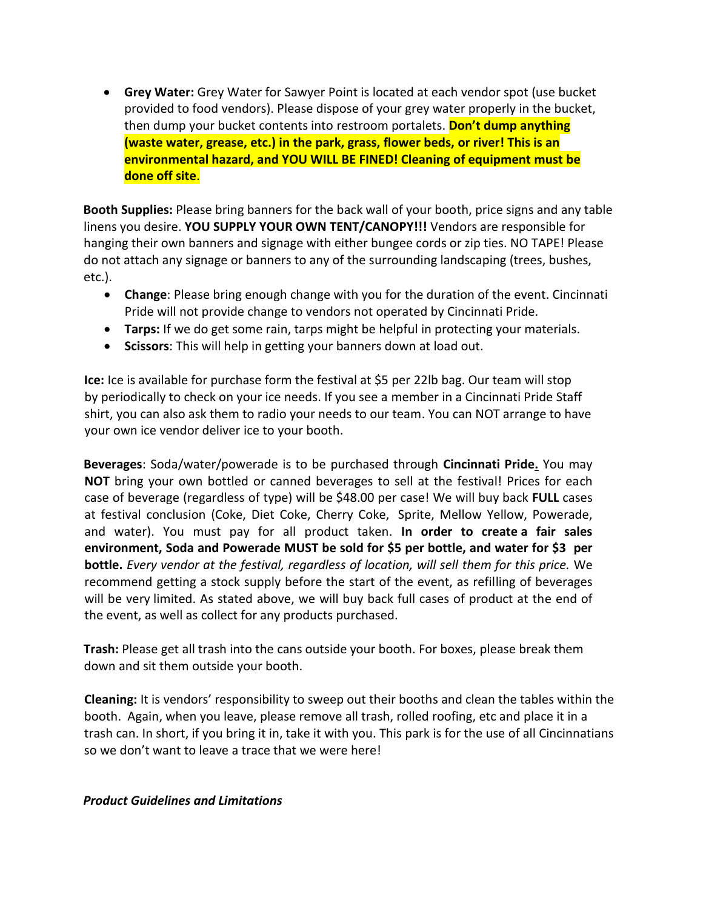**Grey Water:** Grey Water for Sawyer Point is located at each vendor spot (use bucket provided to food vendors). Please dispose of your grey water properly in the bucket, then dump your bucket contents into restroom portalets. **Don't dump anything (waste water, grease, etc.) in the park, grass, flower beds, or river! This is an environmental hazard, and YOU WILL BE FINED! Cleaning of equipment must be done off site**.

**Booth Supplies:** Please bring banners for the back wall of your booth, price signs and any table linens you desire. **YOU SUPPLY YOUR OWN TENT/CANOPY!!!** Vendors are responsible for hanging their own banners and signage with either bungee cords or zip ties. NO TAPE! Please do not attach any signage or banners to any of the surrounding landscaping (trees, bushes, etc.).

- **Change**: Please bring enough change with you for the duration of the event. Cincinnati Pride will not provide change to vendors not operated by Cincinnati Pride.
- **Tarps:** If we do get some rain, tarps might be helpful in protecting your materials.
- **Scissors**: This will help in getting your banners down at load out.

**Ice:** Ice is available for purchase form the festival at \$5 per 22lb bag. Our team will stop by periodically to check on your ice needs. If you see a member in a Cincinnati Pride Staff shirt, you can also ask them to radio your needs to our team. You can NOT arrange to have your own ice vendor deliver ice to your booth.

**Beverages**: Soda/water/powerade is to be purchased through **Cincinnati Pride.** You may **NOT** bring your own bottled or canned beverages to sell at the festival! Prices for each case of beverage (regardless of type) will be \$48.00 per case! We will buy back **FULL** cases at festival conclusion (Coke, Diet Coke, Cherry Coke, Sprite, Mellow Yellow, Powerade, and water). You must pay for all product taken. **In order to create a fair sales environment, Soda and Powerade MUST be sold for \$5 per bottle, and water for \$3 per bottle.** *Every vendor at the festival, regardless of location, will sell them for this price.* We recommend getting a stock supply before the start of the event, as refilling of beverages will be very limited. As stated above, we will buy back full cases of product at the end of the event, as well as collect for any products purchased.

**Trash:** Please get all trash into the cans outside your booth. For boxes, please break them down and sit them outside your booth.

**Cleaning:** It is vendors' responsibility to sweep out their booths and clean the tables within the booth. Again, when you leave, please remove all trash, rolled roofing, etc and place it in a trash can. In short, if you bring it in, take it with you. This park is for the use of all Cincinnatians so we don't want to leave a trace that we were here!

#### *Product Guidelines and Limitations*